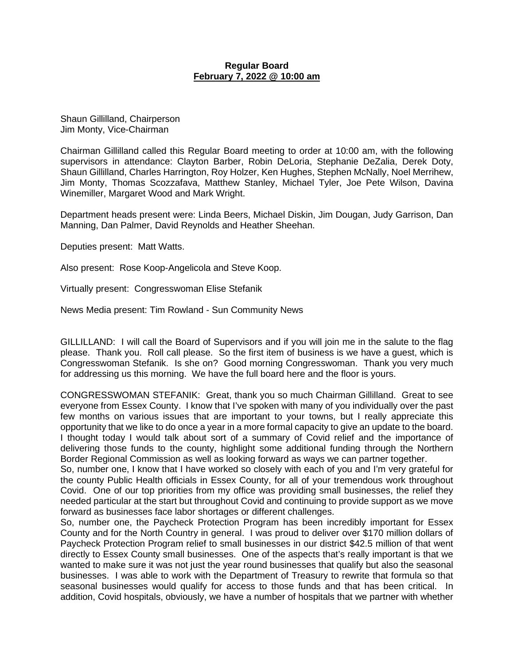#### **Regular Board February 7, 2022 @ 10:00 am**

Shaun Gillilland, Chairperson Jim Monty, Vice-Chairman

Chairman Gillilland called this Regular Board meeting to order at 10:00 am, with the following supervisors in attendance: Clayton Barber, Robin DeLoria, Stephanie DeZalia, Derek Doty, Shaun Gillilland, Charles Harrington, Roy Holzer, Ken Hughes, Stephen McNally, Noel Merrihew, Jim Monty, Thomas Scozzafava, Matthew Stanley, Michael Tyler, Joe Pete Wilson, Davina Winemiller, Margaret Wood and Mark Wright.

Department heads present were: Linda Beers, Michael Diskin, Jim Dougan, Judy Garrison, Dan Manning, Dan Palmer, David Reynolds and Heather Sheehan.

Deputies present: Matt Watts.

Also present: Rose Koop-Angelicola and Steve Koop.

Virtually present: Congresswoman Elise Stefanik

News Media present: Tim Rowland - Sun Community News

GILLILLAND: I will call the Board of Supervisors and if you will join me in the salute to the flag please. Thank you. Roll call please. So the first item of business is we have a guest, which is Congresswoman Stefanik. Is she on? Good morning Congresswoman. Thank you very much for addressing us this morning. We have the full board here and the floor is yours.

CONGRESSWOMAN STEFANIK: Great, thank you so much Chairman Gillilland. Great to see everyone from Essex County. I know that I've spoken with many of you individually over the past few months on various issues that are important to your towns, but I really appreciate this opportunity that we like to do once a year in a more formal capacity to give an update to the board. I thought today I would talk about sort of a summary of Covid relief and the importance of delivering those funds to the county, highlight some additional funding through the Northern Border Regional Commission as well as looking forward as ways we can partner together.

So, number one, I know that I have worked so closely with each of you and I'm very grateful for the county Public Health officials in Essex County, for all of your tremendous work throughout Covid. One of our top priorities from my office was providing small businesses, the relief they needed particular at the start but throughout Covid and continuing to provide support as we move forward as businesses face labor shortages or different challenges.

So, number one, the Paycheck Protection Program has been incredibly important for Essex County and for the North Country in general. I was proud to deliver over \$170 million dollars of Paycheck Protection Program relief to small businesses in our district \$42.5 million of that went directly to Essex County small businesses. One of the aspects that's really important is that we wanted to make sure it was not just the year round businesses that qualify but also the seasonal businesses. I was able to work with the Department of Treasury to rewrite that formula so that seasonal businesses would qualify for access to those funds and that has been critical. In addition, Covid hospitals, obviously, we have a number of hospitals that we partner with whether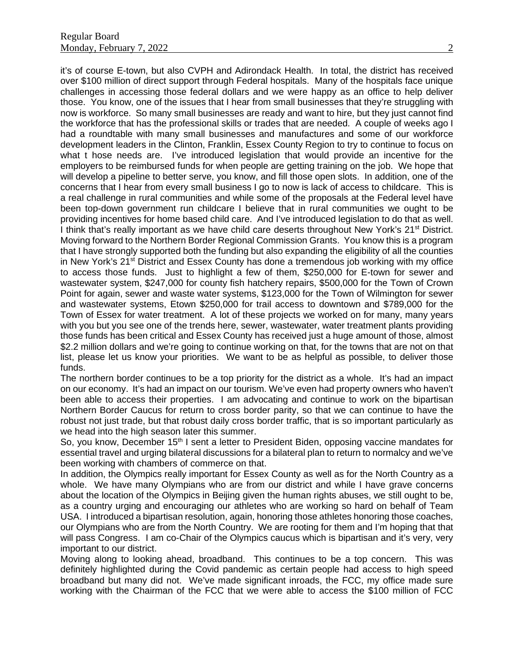it's of course E-town, but also CVPH and Adirondack Health. In total, the district has received over \$100 million of direct support through Federal hospitals. Many of the hospitals face unique challenges in accessing those federal dollars and we were happy as an office to help deliver those. You know, one of the issues that I hear from small businesses that they're struggling with now is workforce. So many small businesses are ready and want to hire, but they just cannot find the workforce that has the professional skills or trades that are needed. A couple of weeks ago I had a roundtable with many small businesses and manufactures and some of our workforce development leaders in the Clinton, Franklin, Essex County Region to try to continue to focus on what t hose needs are. I've introduced legislation that would provide an incentive for the employers to be reimbursed funds for when people are getting training on the job. We hope that will develop a pipeline to better serve, you know, and fill those open slots. In addition, one of the concerns that I hear from every small business I go to now is lack of access to childcare. This is a real challenge in rural communities and while some of the proposals at the Federal level have been top-down government run childcare I believe that in rural communities we ought to be providing incentives for home based child care. And I've introduced legislation to do that as well. I think that's really important as we have child care deserts throughout New York's 21<sup>st</sup> District. Moving forward to the Northern Border Regional Commission Grants. You know this is a program that I have strongly supported both the funding but also expanding the eligibility of all the counties in New York's  $21<sup>st</sup>$  District and Essex County has done a tremendous job working with my office to access those funds. Just to highlight a few of them, \$250,000 for E-town for sewer and wastewater system, \$247,000 for county fish hatchery repairs, \$500,000 for the Town of Crown Point for again, sewer and waste water systems, \$123,000 for the Town of Wilmington for sewer and wastewater systems, Etown \$250,000 for trail access to downtown and \$789,000 for the Town of Essex for water treatment. A lot of these projects we worked on for many, many years with you but you see one of the trends here, sewer, wastewater, water treatment plants providing those funds has been critical and Essex County has received just a huge amount of those, almost \$2.2 million dollars and we're going to continue working on that, for the towns that are not on that list, please let us know your priorities. We want to be as helpful as possible, to deliver those funds.

The northern border continues to be a top priority for the district as a whole. It's had an impact on our economy. It's had an impact on our tourism. We've even had property owners who haven't been able to access their properties. I am advocating and continue to work on the bipartisan Northern Border Caucus for return to cross border parity, so that we can continue to have the robust not just trade, but that robust daily cross border traffic, that is so important particularly as we head into the high season later this summer.

So, you know, December 15<sup>th</sup> I sent a letter to President Biden, opposing vaccine mandates for essential travel and urging bilateral discussions for a bilateral plan to return to normalcy and we've been working with chambers of commerce on that.

In addition, the Olympics really important for Essex County as well as for the North Country as a whole. We have many Olympians who are from our district and while I have grave concerns about the location of the Olympics in Beijing given the human rights abuses, we still ought to be, as a country urging and encouraging our athletes who are working so hard on behalf of Team USA. I introduced a bipartisan resolution, again, honoring those athletes honoring those coaches, our Olympians who are from the North Country. We are rooting for them and I'm hoping that that will pass Congress. I am co-Chair of the Olympics caucus which is bipartisan and it's very, very important to our district.

Moving along to looking ahead, broadband. This continues to be a top concern. This was definitely highlighted during the Covid pandemic as certain people had access to high speed broadband but many did not. We've made significant inroads, the FCC, my office made sure working with the Chairman of the FCC that we were able to access the \$100 million of FCC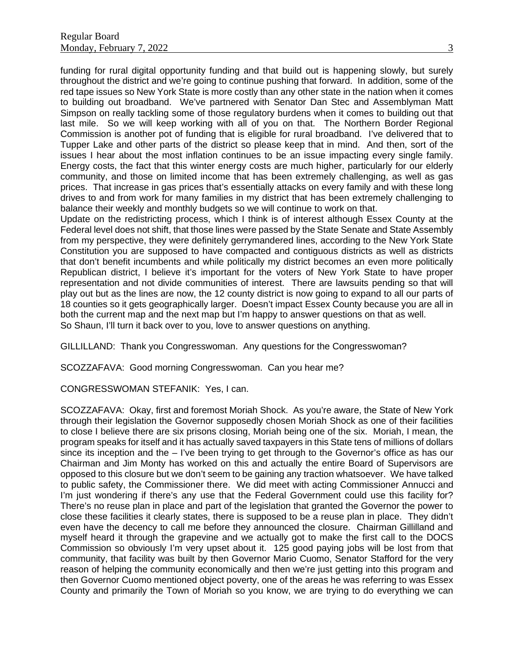funding for rural digital opportunity funding and that build out is happening slowly, but surely throughout the district and we're going to continue pushing that forward. In addition, some of the red tape issues so New York State is more costly than any other state in the nation when it comes to building out broadband. We've partnered with Senator Dan Stec and Assemblyman Matt Simpson on really tackling some of those regulatory burdens when it comes to building out that last mile. So we will keep working with all of you on that. The Northern Border Regional Commission is another pot of funding that is eligible for rural broadband. I've delivered that to Tupper Lake and other parts of the district so please keep that in mind. And then, sort of the issues I hear about the most inflation continues to be an issue impacting every single family. Energy costs, the fact that this winter energy costs are much higher, particularly for our elderly community, and those on limited income that has been extremely challenging, as well as gas prices. That increase in gas prices that's essentially attacks on every family and with these long drives to and from work for many families in my district that has been extremely challenging to balance their weekly and monthly budgets so we will continue to work on that.

Update on the redistricting process, which I think is of interest although Essex County at the Federal level does not shift, that those lines were passed by the State Senate and State Assembly from my perspective, they were definitely gerrymandered lines, according to the New York State Constitution you are supposed to have compacted and contiguous districts as well as districts that don't benefit incumbents and while politically my district becomes an even more politically Republican district, I believe it's important for the voters of New York State to have proper representation and not divide communities of interest. There are lawsuits pending so that will play out but as the lines are now, the 12 county district is now going to expand to all our parts of 18 counties so it gets geographically larger. Doesn't impact Essex County because you are all in both the current map and the next map but I'm happy to answer questions on that as well. So Shaun, I'll turn it back over to you, love to answer questions on anything.

GILLILLAND: Thank you Congresswoman. Any questions for the Congresswoman?

SCOZZAFAVA: Good morning Congresswoman. Can you hear me?

CONGRESSWOMAN STEFANIK: Yes, I can.

SCOZZAFAVA: Okay, first and foremost Moriah Shock. As you're aware, the State of New York through their legislation the Governor supposedly chosen Moriah Shock as one of their facilities to close I believe there are six prisons closing, Moriah being one of the six. Moriah, I mean, the program speaks for itself and it has actually saved taxpayers in this State tens of millions of dollars since its inception and the – I've been trying to get through to the Governor's office as has our Chairman and Jim Monty has worked on this and actually the entire Board of Supervisors are opposed to this closure but we don't seem to be gaining any traction whatsoever. We have talked to public safety, the Commissioner there. We did meet with acting Commissioner Annucci and I'm just wondering if there's any use that the Federal Government could use this facility for? There's no reuse plan in place and part of the legislation that granted the Governor the power to close these facilities it clearly states, there is supposed to be a reuse plan in place. They didn't even have the decency to call me before they announced the closure. Chairman Gillilland and myself heard it through the grapevine and we actually got to make the first call to the DOCS Commission so obviously I'm very upset about it. 125 good paying jobs will be lost from that community, that facility was built by then Governor Mario Cuomo, Senator Stafford for the very reason of helping the community economically and then we're just getting into this program and then Governor Cuomo mentioned object poverty, one of the areas he was referring to was Essex County and primarily the Town of Moriah so you know, we are trying to do everything we can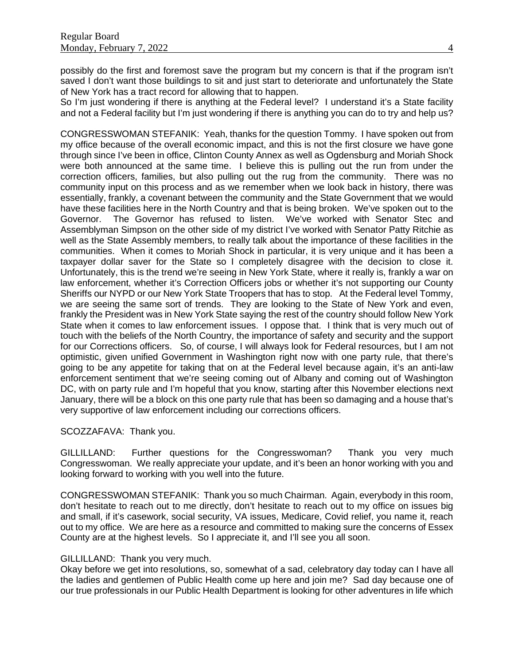possibly do the first and foremost save the program but my concern is that if the program isn't saved I don't want those buildings to sit and just start to deteriorate and unfortunately the State of New York has a tract record for allowing that to happen.

So I'm just wondering if there is anything at the Federal level? I understand it's a State facility and not a Federal facility but I'm just wondering if there is anything you can do to try and help us?

CONGRESSWOMAN STEFANIK: Yeah, thanks for the question Tommy. I have spoken out from my office because of the overall economic impact, and this is not the first closure we have gone through since I've been in office, Clinton County Annex as well as Ogdensburg and Moriah Shock were both announced at the same time. I believe this is pulling out the run from under the correction officers, families, but also pulling out the rug from the community. There was no community input on this process and as we remember when we look back in history, there was essentially, frankly, a covenant between the community and the State Government that we would have these facilities here in the North Country and that is being broken. We've spoken out to the Governor. The Governor has refused to listen. We've worked with Senator Stec and Assemblyman Simpson on the other side of my district I've worked with Senator Patty Ritchie as well as the State Assembly members, to really talk about the importance of these facilities in the communities. When it comes to Moriah Shock in particular, it is very unique and it has been a taxpayer dollar saver for the State so I completely disagree with the decision to close it. Unfortunately, this is the trend we're seeing in New York State, where it really is, frankly a war on law enforcement, whether it's Correction Officers jobs or whether it's not supporting our County Sheriffs our NYPD or our New York State Troopers that has to stop. At the Federal level Tommy, we are seeing the same sort of trends. They are looking to the State of New York and even, frankly the President was in New York State saying the rest of the country should follow New York State when it comes to law enforcement issues. I oppose that. I think that is very much out of touch with the beliefs of the North Country, the importance of safety and security and the support for our Corrections officers. So, of course, I will always look for Federal resources, but I am not optimistic, given unified Government in Washington right now with one party rule, that there's going to be any appetite for taking that on at the Federal level because again, it's an anti-law enforcement sentiment that we're seeing coming out of Albany and coming out of Washington DC, with on party rule and I'm hopeful that you know, starting after this November elections next January, there will be a block on this one party rule that has been so damaging and a house that's very supportive of law enforcement including our corrections officers.

#### SCOZZAFAVA: Thank you.

GILLILLAND: Further questions for the Congresswoman? Thank you very much Congresswoman. We really appreciate your update, and it's been an honor working with you and looking forward to working with you well into the future.

CONGRESSWOMAN STEFANIK: Thank you so much Chairman. Again, everybody in this room, don't hesitate to reach out to me directly, don't hesitate to reach out to my office on issues big and small, if it's casework, social security, VA issues, Medicare, Covid relief, you name it, reach out to my office. We are here as a resource and committed to making sure the concerns of Essex County are at the highest levels. So I appreciate it, and I'll see you all soon.

### GILLILLAND: Thank you very much.

Okay before we get into resolutions, so, somewhat of a sad, celebratory day today can I have all the ladies and gentlemen of Public Health come up here and join me? Sad day because one of our true professionals in our Public Health Department is looking for other adventures in life which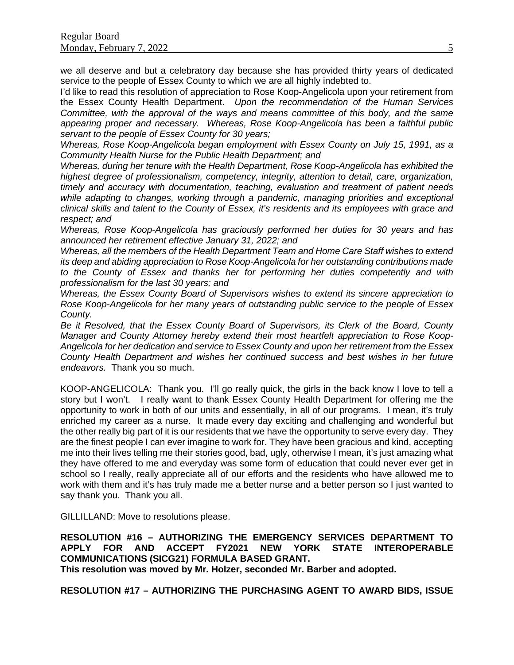we all deserve and but a celebratory day because she has provided thirty years of dedicated service to the people of Essex County to which we are all highly indebted to.

I'd like to read this resolution of appreciation to Rose Koop-Angelicola upon your retirement from the Essex County Health Department. *Upon the recommendation of the Human Services Committee, with the approval of the ways and means committee of this body, and the same appearing proper and necessary. Whereas, Rose Koop-Angelicola has been a faithful public servant to the people of Essex County for 30 years;*

*Whereas, Rose Koop-Angelicola began employment with Essex County on July 15, 1991, as a Community Health Nurse for the Public Health Department; and*

*Whereas, during her tenure with the Health Department, Rose Koop-Angelicola has exhibited the highest degree of professionalism, competency, integrity, attention to detail, care, organization, timely and accuracy with documentation, teaching, evaluation and treatment of patient needs while adapting to changes, working through a pandemic, managing priorities and exceptional clinical skills and talent to the County of Essex, it's residents and its employees with grace and respect; and* 

*Whereas, Rose Koop-Angelicola has graciously performed her duties for 30 years and has announced her retirement effective January 31, 2022; and* 

*Whereas, all the members of the Health Department Team and Home Care Staff wishes to extend its deep and abiding appreciation to Rose Koop-Angelicola for her outstanding contributions made to the County of Essex and thanks her for performing her duties competently and with professionalism for the last 30 years; and* 

*Whereas, the Essex County Board of Supervisors wishes to extend its sincere appreciation to Rose Koop-Angelicola for her many years of outstanding public service to the people of Essex County.*

*Be it Resolved, that the Essex County Board of Supervisors, its Clerk of the Board, County*  Manager and County Attorney hereby extend their most heartfelt appreciation to Rose Koop-*Angelicola for her dedication and service to Essex County and upon her retirement from the Essex County Health Department and wishes her continued success and best wishes in her future endeavors.* Thank you so much.

KOOP-ANGELICOLA: Thank you. I'll go really quick, the girls in the back know I love to tell a story but I won't. I really want to thank Essex County Health Department for offering me the opportunity to work in both of our units and essentially, in all of our programs. I mean, it's truly enriched my career as a nurse. It made every day exciting and challenging and wonderful but the other really big part of it is our residents that we have the opportunity to serve every day. They are the finest people I can ever imagine to work for. They have been gracious and kind, accepting me into their lives telling me their stories good, bad, ugly, otherwise I mean, it's just amazing what they have offered to me and everyday was some form of education that could never ever get in school so I really, really appreciate all of our efforts and the residents who have allowed me to work with them and it's has truly made me a better nurse and a better person so I just wanted to say thank you. Thank you all.

GILLILLAND: Move to resolutions please.

**RESOLUTION #16 – AUTHORIZING THE EMERGENCY SERVICES DEPARTMENT TO** APPLY FOR AND ACCEPT FY2021 NEW **COMMUNICATIONS (SICG21) FORMULA BASED GRANT. This resolution was moved by Mr. Holzer, seconded Mr. Barber and adopted.**

**RESOLUTION #17 – AUTHORIZING THE PURCHASING AGENT TO AWARD BIDS, ISSUE**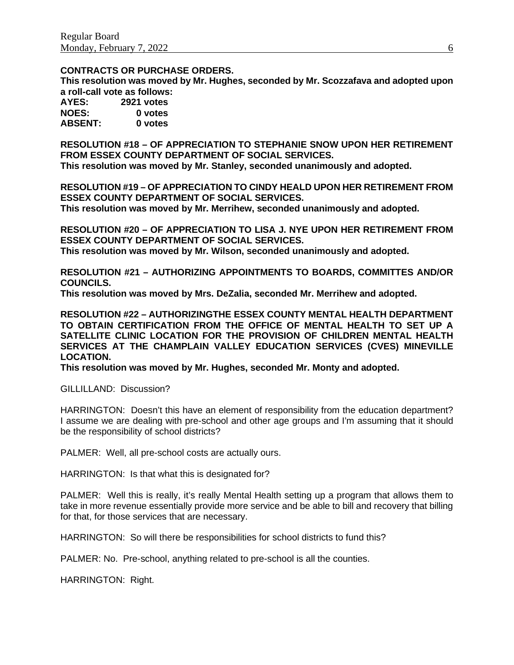#### **CONTRACTS OR PURCHASE ORDERS.**

**This resolution was moved by Mr. Hughes, seconded by Mr. Scozzafava and adopted upon a roll-call vote as follows:** 

| AYES:          | 2921 votes |
|----------------|------------|
| <b>NOES:</b>   | 0 votes    |
| <b>ABSENT:</b> | 0 votes    |

**RESOLUTION #18 – OF APPRECIATION TO STEPHANIE SNOW UPON HER RETIREMENT FROM ESSEX COUNTY DEPARTMENT OF SOCIAL SERVICES. This resolution was moved by Mr. Stanley, seconded unanimously and adopted.**

**RESOLUTION #19 – OF APPRECIATION TO CINDY HEALD UPON HER RETIREMENT FROM ESSEX COUNTY DEPARTMENT OF SOCIAL SERVICES. This resolution was moved by Mr. Merrihew, seconded unanimously and adopted.**

**RESOLUTION #20 – OF APPRECIATION TO LISA J. NYE UPON HER RETIREMENT FROM ESSEX COUNTY DEPARTMENT OF SOCIAL SERVICES.**

**This resolution was moved by Mr. Wilson, seconded unanimously and adopted.**

**RESOLUTION #21 – AUTHORIZING APPOINTMENTS TO BOARDS, COMMITTES AND/OR COUNCILS.**

**This resolution was moved by Mrs. DeZalia, seconded Mr. Merrihew and adopted.**

**RESOLUTION #22 – AUTHORIZINGTHE ESSEX COUNTY MENTAL HEALTH DEPARTMENT TO OBTAIN CERTIFICATION FROM THE OFFICE OF MENTAL HEALTH TO SET UP A SATELLITE CLINIC LOCATION FOR THE PROVISION OF CHILDREN MENTAL HEALTH SERVICES AT THE CHAMPLAIN VALLEY EDUCATION SERVICES (CVES) MINEVILLE LOCATION.**

**This resolution was moved by Mr. Hughes, seconded Mr. Monty and adopted.**

GILLILLAND: Discussion?

HARRINGTON: Doesn't this have an element of responsibility from the education department? I assume we are dealing with pre-school and other age groups and I'm assuming that it should be the responsibility of school districts?

PALMER: Well, all pre-school costs are actually ours.

HARRINGTON: Is that what this is designated for?

PALMER: Well this is really, it's really Mental Health setting up a program that allows them to take in more revenue essentially provide more service and be able to bill and recovery that billing for that, for those services that are necessary.

HARRINGTON: So will there be responsibilities for school districts to fund this?

PALMER: No. Pre-school, anything related to pre-school is all the counties.

HARRINGTON: Right.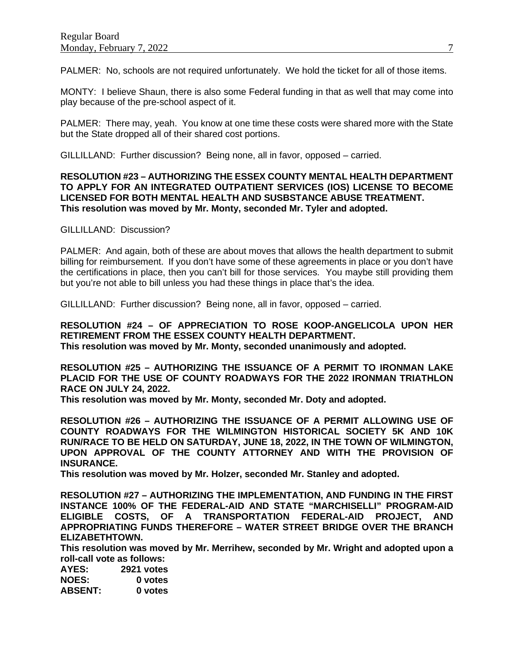PALMER: No, schools are not required unfortunately. We hold the ticket for all of those items.

MONTY: I believe Shaun, there is also some Federal funding in that as well that may come into play because of the pre-school aspect of it.

PALMER: There may, yeah. You know at one time these costs were shared more with the State but the State dropped all of their shared cost portions.

GILLILLAND: Further discussion? Being none, all in favor, opposed – carried.

#### **RESOLUTION #23 – AUTHORIZING THE ESSEX COUNTY MENTAL HEALTH DEPARTMENT TO APPLY FOR AN INTEGRATED OUTPATIENT SERVICES (IOS) LICENSE TO BECOME LICENSED FOR BOTH MENTAL HEALTH AND SUSBSTANCE ABUSE TREATMENT. This resolution was moved by Mr. Monty, seconded Mr. Tyler and adopted.**

GILLILLAND: Discussion?

PALMER: And again, both of these are about moves that allows the health department to submit billing for reimbursement. If you don't have some of these agreements in place or you don't have the certifications in place, then you can't bill for those services. You maybe still providing them but you're not able to bill unless you had these things in place that's the idea.

GILLILLAND: Further discussion? Being none, all in favor, opposed – carried.

**RESOLUTION #24 – OF APPRECIATION TO ROSE KOOP-ANGELICOLA UPON HER RETIREMENT FROM THE ESSEX COUNTY HEALTH DEPARTMENT. This resolution was moved by Mr. Monty, seconded unanimously and adopted.**

**RESOLUTION #25 – AUTHORIZING THE ISSUANCE OF A PERMIT TO IRONMAN LAKE PLACID FOR THE USE OF COUNTY ROADWAYS FOR THE 2022 IRONMAN TRIATHLON RACE ON JULY 24, 2022.**

**This resolution was moved by Mr. Monty, seconded Mr. Doty and adopted.**

**RESOLUTION #26 – AUTHORIZING THE ISSUANCE OF A PERMIT ALLOWING USE OF COUNTY ROADWAYS FOR THE WILMINGTON HISTORICAL SOCIETY 5K AND 10K RUN/RACE TO BE HELD ON SATURDAY, JUNE 18, 2022, IN THE TOWN OF WILMINGTON, UPON APPROVAL OF THE COUNTY ATTORNEY AND WITH THE PROVISION OF INSURANCE.**

**This resolution was moved by Mr. Holzer, seconded Mr. Stanley and adopted.**

**RESOLUTION #27 – AUTHORIZING THE IMPLEMENTATION, AND FUNDING IN THE FIRST INSTANCE 100% OF THE FEDERAL-AID AND STATE "MARCHISELLI" PROGRAM-AID ELIGIBLE COSTS, OF A TRANSPORTATION FEDERAL-AID PROJECT, AND APPROPRIATING FUNDS THEREFORE – WATER STREET BRIDGE OVER THE BRANCH ELIZABETHTOWN.**

**This resolution was moved by Mr. Merrihew, seconded by Mr. Wright and adopted upon a roll-call vote as follows:** 

| AYES:          | 2921 votes |
|----------------|------------|
| <b>NOES:</b>   | 0 votes    |
| <b>ABSENT:</b> | 0 votes    |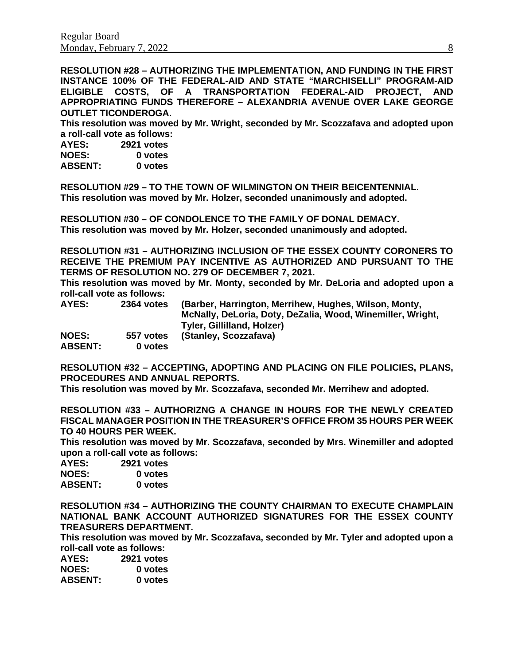**RESOLUTION #28 – AUTHORIZING THE IMPLEMENTATION, AND FUNDING IN THE FIRST INSTANCE 100% OF THE FEDERAL-AID AND STATE "MARCHISELLI" PROGRAM-AID ELIGIBLE COSTS, OF A TRANSPORTATION FEDERAL-AID PROJECT, AND APPROPRIATING FUNDS THEREFORE – ALEXANDRIA AVENUE OVER LAKE GEORGE OUTLET TICONDEROGA.**

**This resolution was moved by Mr. Wright, seconded by Mr. Scozzafava and adopted upon a roll-call vote as follows:** 

**AYES: 2921 votes NOES: 0 votes ABSENT: 0 votes**

**RESOLUTION #29 – TO THE TOWN OF WILMINGTON ON THEIR BEICENTENNIAL. This resolution was moved by Mr. Holzer, seconded unanimously and adopted.**

**RESOLUTION #30 – OF CONDOLENCE TO THE FAMILY OF DONAL DEMACY. This resolution was moved by Mr. Holzer, seconded unanimously and adopted.**

**RESOLUTION #31 – AUTHORIZING INCLUSION OF THE ESSEX COUNTY CORONERS TO RECEIVE THE PREMIUM PAY INCENTIVE AS AUTHORIZED AND PURSUANT TO THE TERMS OF RESOLUTION NO. 279 OF DECEMBER 7, 2021.**

**This resolution was moved by Mr. Monty, seconded by Mr. DeLoria and adopted upon a roll-call vote as follows:** 

| AYES:          | 2364 votes | (Barber, Harrington, Merrihew, Hughes, Wilson, Monty,      |
|----------------|------------|------------------------------------------------------------|
|                |            | McNally, DeLoria, Doty, DeZalia, Wood, Winemiller, Wright, |
|                |            | Tyler, Gillilland, Holzer)                                 |
| <b>NOES:</b>   | 557 votes  | (Stanley, Scozzafava)                                      |
| <b>ABSENT:</b> | 0 votes    |                                                            |

**RESOLUTION #32 – ACCEPTING, ADOPTING AND PLACING ON FILE POLICIES, PLANS, PROCEDURES AND ANNUAL REPORTS.**

**This resolution was moved by Mr. Scozzafava, seconded Mr. Merrihew and adopted.**

**RESOLUTION #33 – AUTHORIZNG A CHANGE IN HOURS FOR THE NEWLY CREATED FISCAL MANAGER POSITION IN THE TREASURER'S OFFICE FROM 35 HOURS PER WEEK TO 40 HOURS PER WEEK.**

**This resolution was moved by Mr. Scozzafava, seconded by Mrs. Winemiller and adopted upon a roll-call vote as follows:** 

**AYES: 2921 votes NOES: 0 votes ABSENT: 0 votes**

**RESOLUTION #34 – AUTHORIZING THE COUNTY CHAIRMAN TO EXECUTE CHAMPLAIN NATIONAL BANK ACCOUNT AUTHORIZED SIGNATURES FOR THE ESSEX COUNTY TREASURERS DEPARTMENT.**

**This resolution was moved by Mr. Scozzafava, seconded by Mr. Tyler and adopted upon a roll-call vote as follows:** 

| AYES:          | 2921 votes |
|----------------|------------|
| <b>NOES:</b>   | 0 votes    |
| <b>ABSENT:</b> | 0 votes    |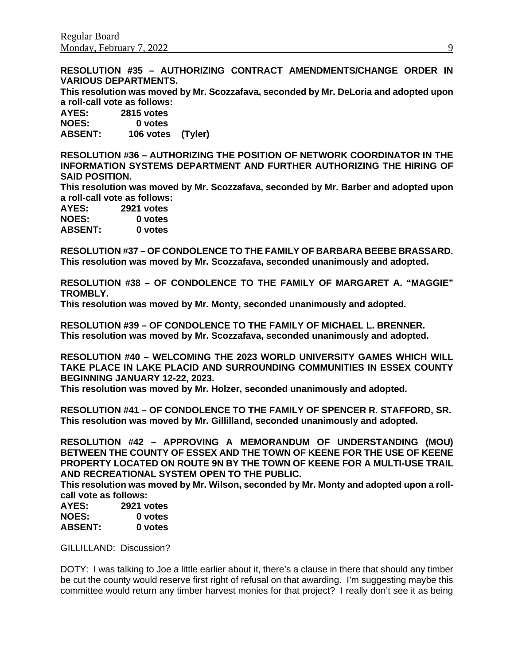**RESOLUTION #35 – AUTHORIZING CONTRACT AMENDMENTS/CHANGE ORDER IN VARIOUS DEPARTMENTS.**

**This resolution was moved by Mr. Scozzafava, seconded by Mr. DeLoria and adopted upon a roll-call vote as follows:** 

**AYES: 2815 votes NOES: 0 votes ABSENT: 106 votes (Tyler)**

**RESOLUTION #36 – AUTHORIZING THE POSITION OF NETWORK COORDINATOR IN THE INFORMATION SYSTEMS DEPARTMENT AND FURTHER AUTHORIZING THE HIRING OF SAID POSITION.**

**This resolution was moved by Mr. Scozzafava, seconded by Mr. Barber and adopted upon a roll-call vote as follows:** 

| AYES:          | 2921 votes |
|----------------|------------|
| <b>NOES:</b>   | 0 votes    |
| <b>ABSENT:</b> | 0 votes    |

**RESOLUTION #37 – OF CONDOLENCE TO THE FAMILY OF BARBARA BEEBE BRASSARD. This resolution was moved by Mr. Scozzafava, seconded unanimously and adopted.**

**RESOLUTION #38 – OF CONDOLENCE TO THE FAMILY OF MARGARET A. "MAGGIE" TROMBLY.**

**This resolution was moved by Mr. Monty, seconded unanimously and adopted.**

**RESOLUTION #39 – OF CONDOLENCE TO THE FAMILY OF MICHAEL L. BRENNER. This resolution was moved by Mr. Scozzafava, seconded unanimously and adopted.**

**RESOLUTION #40 – WELCOMING THE 2023 WORLD UNIVERSITY GAMES WHICH WILL TAKE PLACE IN LAKE PLACID AND SURROUNDING COMMUNITIES IN ESSEX COUNTY BEGINNING JANUARY 12-22, 2023.**

**This resolution was moved by Mr. Holzer, seconded unanimously and adopted.**

**RESOLUTION #41 – OF CONDOLENCE TO THE FAMILY OF SPENCER R. STAFFORD, SR. This resolution was moved by Mr. Gillilland, seconded unanimously and adopted.**

**RESOLUTION #42 – APPROVING A MEMORANDUM OF UNDERSTANDING (MOU) BETWEEN THE COUNTY OF ESSEX AND THE TOWN OF KEENE FOR THE USE OF KEENE PROPERTY LOCATED ON ROUTE 9N BY THE TOWN OF KEENE FOR A MULTI-USE TRAIL AND RECREATIONAL SYSTEM OPEN TO THE PUBLIC.**

**This resolution was moved by Mr. Wilson, seconded by Mr. Monty and adopted upon a rollcall vote as follows:** 

**AYES: 2921 votes** 0 votes **ABSENT: 0 votes**

GILLILLAND: Discussion?

DOTY: I was talking to Joe a little earlier about it, there's a clause in there that should any timber be cut the county would reserve first right of refusal on that awarding. I'm suggesting maybe this committee would return any timber harvest monies for that project? I really don't see it as being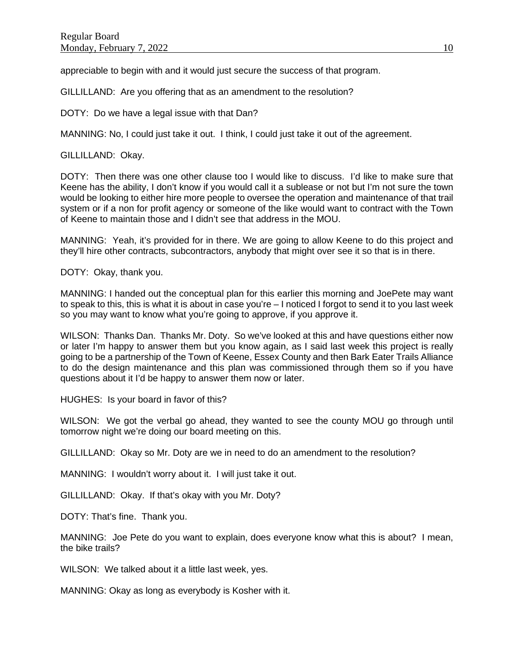appreciable to begin with and it would just secure the success of that program.

GILLILLAND: Are you offering that as an amendment to the resolution?

DOTY: Do we have a legal issue with that Dan?

MANNING: No, I could just take it out. I think, I could just take it out of the agreement.

GILLILLAND: Okay.

DOTY: Then there was one other clause too I would like to discuss. I'd like to make sure that Keene has the ability, I don't know if you would call it a sublease or not but I'm not sure the town would be looking to either hire more people to oversee the operation and maintenance of that trail system or if a non for profit agency or someone of the like would want to contract with the Town of Keene to maintain those and I didn't see that address in the MOU.

MANNING: Yeah, it's provided for in there. We are going to allow Keene to do this project and they'll hire other contracts, subcontractors, anybody that might over see it so that is in there.

DOTY: Okay, thank you.

MANNING: I handed out the conceptual plan for this earlier this morning and JoePete may want to speak to this, this is what it is about in case you're – I noticed I forgot to send it to you last week so you may want to know what you're going to approve, if you approve it.

WILSON: Thanks Dan. Thanks Mr. Doty. So we've looked at this and have questions either now or later I'm happy to answer them but you know again, as I said last week this project is really going to be a partnership of the Town of Keene, Essex County and then Bark Eater Trails Alliance to do the design maintenance and this plan was commissioned through them so if you have questions about it I'd be happy to answer them now or later.

HUGHES: Is your board in favor of this?

WILSON: We got the verbal go ahead, they wanted to see the county MOU go through until tomorrow night we're doing our board meeting on this.

GILLILLAND: Okay so Mr. Doty are we in need to do an amendment to the resolution?

MANNING: I wouldn't worry about it. I will just take it out.

GILLILLAND: Okay. If that's okay with you Mr. Doty?

DOTY: That's fine. Thank you.

MANNING: Joe Pete do you want to explain, does everyone know what this is about? I mean, the bike trails?

WILSON: We talked about it a little last week, yes.

MANNING: Okay as long as everybody is Kosher with it.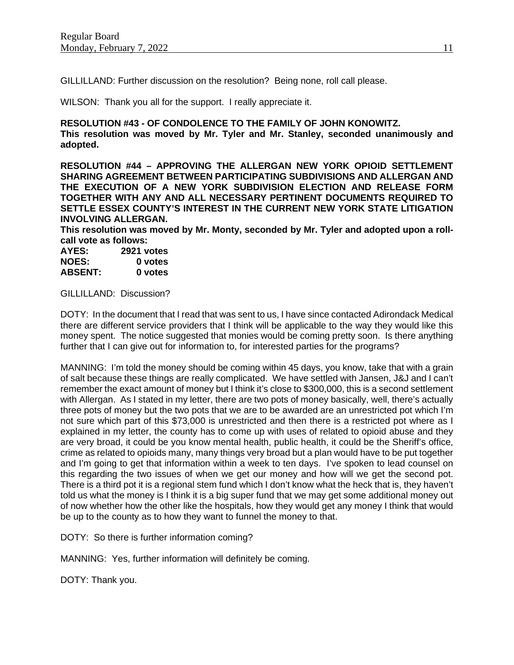GILLILLAND: Further discussion on the resolution? Being none, roll call please.

WILSON: Thank you all for the support. I really appreciate it.

**RESOLUTION #43 - OF CONDOLENCE TO THE FAMILY OF JOHN KONOWITZ. This resolution was moved by Mr. Tyler and Mr. Stanley, seconded unanimously and adopted.**

**RESOLUTION #44 – APPROVING THE ALLERGAN NEW YORK OPIOID SETTLEMENT SHARING AGREEMENT BETWEEN PARTICIPATING SUBDIVISIONS AND ALLERGAN AND THE EXECUTION OF A NEW YORK SUBDIVISION ELECTION AND RELEASE FORM TOGETHER WITH ANY AND ALL NECESSARY PERTINENT DOCUMENTS REQUIRED TO SETTLE ESSEX COUNTY'S INTEREST IN THE CURRENT NEW YORK STATE LITIGATION INVOLVING ALLERGAN.**

**This resolution was moved by Mr. Monty, seconded by Mr. Tyler and adopted upon a rollcall vote as follows:** 

| AYES:          | 2921 votes |
|----------------|------------|
| <b>NOES:</b>   | 0 votes    |
| <b>ABSENT:</b> | 0 votes    |

GILLILLAND: Discussion?

DOTY: In the document that I read that was sent to us, I have since contacted Adirondack Medical there are different service providers that I think will be applicable to the way they would like this money spent. The notice suggested that monies would be coming pretty soon. Is there anything further that I can give out for information to, for interested parties for the programs?

MANNING: I'm told the money should be coming within 45 days, you know, take that with a grain of salt because these things are really complicated. We have settled with Jansen, J&J and I can't remember the exact amount of money but I think it's close to \$300,000, this is a second settlement with Allergan. As I stated in my letter, there are two pots of money basically, well, there's actually three pots of money but the two pots that we are to be awarded are an unrestricted pot which I'm not sure which part of this \$73,000 is unrestricted and then there is a restricted pot where as I explained in my letter, the county has to come up with uses of related to opioid abuse and they are very broad, it could be you know mental health, public health, it could be the Sheriff's office, crime as related to opioids many, many things very broad but a plan would have to be put together and I'm going to get that information within a week to ten days. I've spoken to lead counsel on this regarding the two issues of when we get our money and how will we get the second pot. There is a third pot it is a regional stem fund which I don't know what the heck that is, they haven't told us what the money is I think it is a big super fund that we may get some additional money out of now whether how the other like the hospitals, how they would get any money I think that would be up to the county as to how they want to funnel the money to that.

DOTY: So there is further information coming?

MANNING: Yes, further information will definitely be coming.

DOTY: Thank you.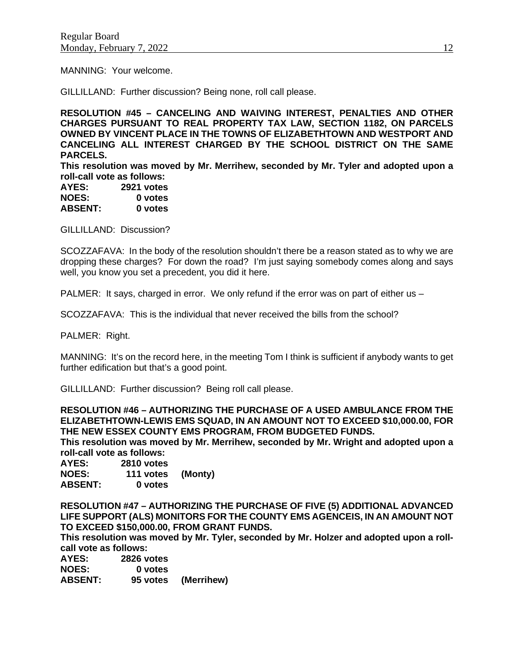MANNING: Your welcome.

GILLILLAND: Further discussion? Being none, roll call please.

**RESOLUTION #45 – CANCELING AND WAIVING INTEREST, PENALTIES AND OTHER CHARGES PURSUANT TO REAL PROPERTY TAX LAW, SECTION 1182, ON PARCELS OWNED BY VINCENT PLACE IN THE TOWNS OF ELIZABETHTOWN AND WESTPORT AND CANCELING ALL INTEREST CHARGED BY THE SCHOOL DISTRICT ON THE SAME PARCELS.**

**This resolution was moved by Mr. Merrihew, seconded by Mr. Tyler and adopted upon a roll-call vote as follows:** 

| AYES:          | 2921 votes |
|----------------|------------|
| <b>NOES:</b>   | 0 votes    |
| <b>ABSENT:</b> | 0 votes    |

GILLILLAND: Discussion?

SCOZZAFAVA: In the body of the resolution shouldn't there be a reason stated as to why we are dropping these charges? For down the road? I'm just saying somebody comes along and says well, you know you set a precedent, you did it here.

PALMER: It says, charged in error. We only refund if the error was on part of either us –

SCOZZAFAVA: This is the individual that never received the bills from the school?

PALMER: Right.

MANNING: It's on the record here, in the meeting Tom I think is sufficient if anybody wants to get further edification but that's a good point.

GILLILLAND: Further discussion? Being roll call please.

**RESOLUTION #46 – AUTHORIZING THE PURCHASE OF A USED AMBULANCE FROM THE ELIZABETHTOWN-LEWIS EMS SQUAD, IN AN AMOUNT NOT TO EXCEED \$10,000.00, FOR THE NEW ESSEX COUNTY EMS PROGRAM, FROM BUDGETED FUNDS.**

**This resolution was moved by Mr. Merrihew, seconded by Mr. Wright and adopted upon a roll-call vote as follows:** 

**AYES: 2810 votes NOES: 111 votes (Monty) ABSENT: 0 votes**

**RESOLUTION #47 – AUTHORIZING THE PURCHASE OF FIVE (5) ADDITIONAL ADVANCED LIFE SUPPORT (ALS) MONITORS FOR THE COUNTY EMS AGENCEIS, IN AN AMOUNT NOT TO EXCEED \$150,000.00, FROM GRANT FUNDS.**

**This resolution was moved by Mr. Tyler, seconded by Mr. Holzer and adopted upon a rollcall vote as follows:** 

| AYES:          | 2826 votes |                     |
|----------------|------------|---------------------|
| <b>NOES:</b>   | 0 votes    |                     |
| <b>ABSENT:</b> |            | 95 votes (Merrihew) |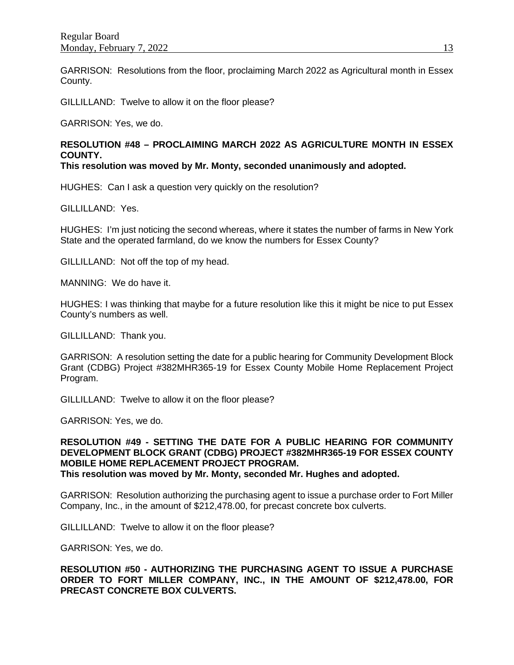GARRISON: Resolutions from the floor, proclaiming March 2022 as Agricultural month in Essex County.

GILLILLAND: Twelve to allow it on the floor please?

GARRISON: Yes, we do.

## **RESOLUTION #48 – PROCLAIMING MARCH 2022 AS AGRICULTURE MONTH IN ESSEX COUNTY.**

**This resolution was moved by Mr. Monty, seconded unanimously and adopted.**

HUGHES: Can I ask a question very quickly on the resolution?

GILLILLAND: Yes.

HUGHES: I'm just noticing the second whereas, where it states the number of farms in New York State and the operated farmland, do we know the numbers for Essex County?

GILLILLAND: Not off the top of my head.

MANNING: We do have it.

HUGHES: I was thinking that maybe for a future resolution like this it might be nice to put Essex County's numbers as well.

GILLILLAND: Thank you.

GARRISON: A resolution setting the date for a public hearing for Community Development Block Grant (CDBG) Project #382MHR365-19 for Essex County Mobile Home Replacement Project Program.

GILLILLAND: Twelve to allow it on the floor please?

GARRISON: Yes, we do.

**RESOLUTION #49 - SETTING THE DATE FOR A PUBLIC HEARING FOR COMMUNITY DEVELOPMENT BLOCK GRANT (CDBG) PROJECT #382MHR365-19 FOR ESSEX COUNTY MOBILE HOME REPLACEMENT PROJECT PROGRAM. This resolution was moved by Mr. Monty, seconded Mr. Hughes and adopted.**

GARRISON: Resolution authorizing the purchasing agent to issue a purchase order to Fort Miller Company, Inc., in the amount of \$212,478.00, for precast concrete box culverts.

GILLILLAND: Twelve to allow it on the floor please?

GARRISON: Yes, we do.

**RESOLUTION #50 - AUTHORIZING THE PURCHASING AGENT TO ISSUE A PURCHASE ORDER TO FORT MILLER COMPANY, INC., IN THE AMOUNT OF \$212,478.00, FOR PRECAST CONCRETE BOX CULVERTS.**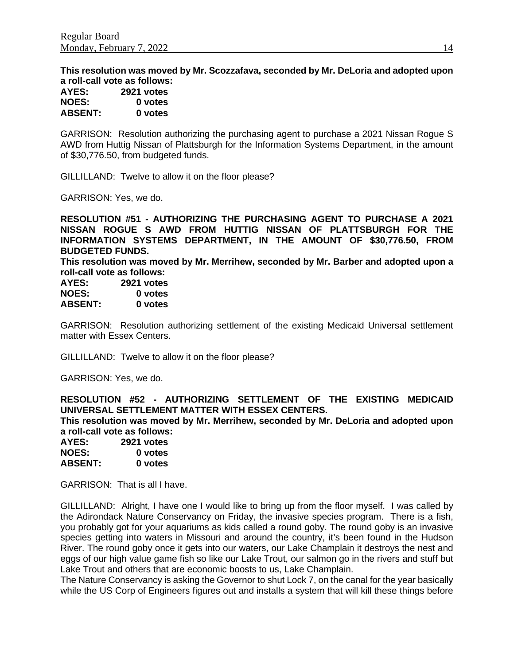**This resolution was moved by Mr. Scozzafava, seconded by Mr. DeLoria and adopted upon a roll-call vote as follows: AYES: 2921 votes**

| AILS:          | <b>ZYZT VOTES</b> |
|----------------|-------------------|
| <b>NOES:</b>   | 0 votes           |
| <b>ABSENT:</b> | 0 votes           |

GARRISON: Resolution authorizing the purchasing agent to purchase a 2021 Nissan Rogue S AWD from Huttig Nissan of Plattsburgh for the Information Systems Department, in the amount of \$30,776.50, from budgeted funds.

GILLILLAND: Twelve to allow it on the floor please?

GARRISON: Yes, we do.

**RESOLUTION #51 - AUTHORIZING THE PURCHASING AGENT TO PURCHASE A 2021 NISSAN ROGUE S AWD FROM HUTTIG NISSAN OF PLATTSBURGH FOR THE INFORMATION SYSTEMS DEPARTMENT, IN THE AMOUNT OF \$30,776.50, FROM BUDGETED FUNDS.**

**This resolution was moved by Mr. Merrihew, seconded by Mr. Barber and adopted upon a roll-call vote as follows:** 

| AYES:          | <b>2921 votes</b> |
|----------------|-------------------|
| <b>NOES:</b>   | 0 votes           |
| <b>ABSENT:</b> | 0 votes           |

GARRISON: Resolution authorizing settlement of the existing Medicaid Universal settlement matter with Essex Centers.

GILLILLAND: Twelve to allow it on the floor please?

GARRISON: Yes, we do.

**RESOLUTION #52 - AUTHORIZING SETTLEMENT OF THE EXISTING MEDICAID UNIVERSAL SETTLEMENT MATTER WITH ESSEX CENTERS. This resolution was moved by Mr. Merrihew, seconded by Mr. DeLoria and adopted upon a roll-call vote as follows:** 

| AYES:          | 2921 votes |  |
|----------------|------------|--|
| <b>NOES:</b>   | 0 votes    |  |
| <b>ABSENT:</b> | 0 votes    |  |

GARRISON: That is all I have.

GILLILLAND: Alright, I have one I would like to bring up from the floor myself. I was called by the Adirondack Nature Conservancy on Friday, the invasive species program. There is a fish, you probably got for your aquariums as kids called a round goby. The round goby is an invasive species getting into waters in Missouri and around the country, it's been found in the Hudson River. The round goby once it gets into our waters, our Lake Champlain it destroys the nest and eggs of our high value game fish so like our Lake Trout, our salmon go in the rivers and stuff but Lake Trout and others that are economic boosts to us, Lake Champlain.

The Nature Conservancy is asking the Governor to shut Lock 7, on the canal for the year basically while the US Corp of Engineers figures out and installs a system that will kill these things before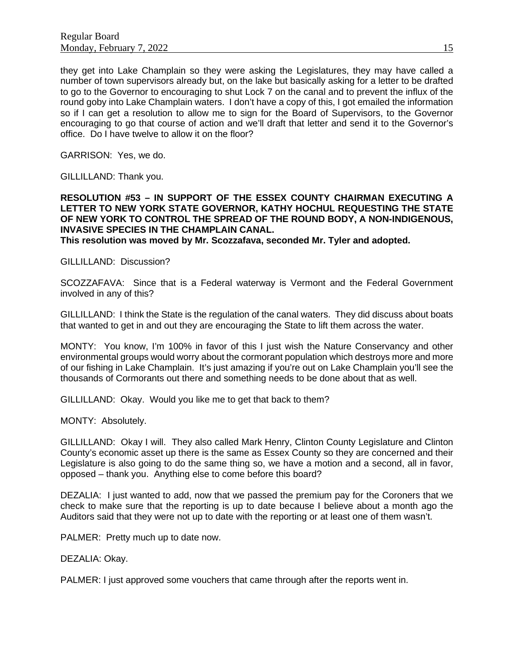they get into Lake Champlain so they were asking the Legislatures, they may have called a number of town supervisors already but, on the lake but basically asking for a letter to be drafted to go to the Governor to encouraging to shut Lock 7 on the canal and to prevent the influx of the round goby into Lake Champlain waters. I don't have a copy of this, I got emailed the information so if I can get a resolution to allow me to sign for the Board of Supervisors, to the Governor encouraging to go that course of action and we'll draft that letter and send it to the Governor's office. Do I have twelve to allow it on the floor?

GARRISON: Yes, we do.

GILLILLAND: Thank you.

### **RESOLUTION #53 – IN SUPPORT OF THE ESSEX COUNTY CHAIRMAN EXECUTING A LETTER TO NEW YORK STATE GOVERNOR, KATHY HOCHUL REQUESTING THE STATE OF NEW YORK TO CONTROL THE SPREAD OF THE ROUND BODY, A NON-INDIGENOUS, INVASIVE SPECIES IN THE CHAMPLAIN CANAL.**

**This resolution was moved by Mr. Scozzafava, seconded Mr. Tyler and adopted.**

GILLILLAND: Discussion?

SCOZZAFAVA: Since that is a Federal waterway is Vermont and the Federal Government involved in any of this?

GILLILLAND: I think the State is the regulation of the canal waters. They did discuss about boats that wanted to get in and out they are encouraging the State to lift them across the water.

MONTY: You know, I'm 100% in favor of this I just wish the Nature Conservancy and other environmental groups would worry about the cormorant population which destroys more and more of our fishing in Lake Champlain. It's just amazing if you're out on Lake Champlain you'll see the thousands of Cormorants out there and something needs to be done about that as well.

GILLILLAND: Okay. Would you like me to get that back to them?

MONTY: Absolutely.

GILLILLAND: Okay I will. They also called Mark Henry, Clinton County Legislature and Clinton County's economic asset up there is the same as Essex County so they are concerned and their Legislature is also going to do the same thing so, we have a motion and a second, all in favor, opposed – thank you. Anything else to come before this board?

DEZALIA: I just wanted to add, now that we passed the premium pay for the Coroners that we check to make sure that the reporting is up to date because I believe about a month ago the Auditors said that they were not up to date with the reporting or at least one of them wasn't.

PALMER: Pretty much up to date now.

DEZALIA: Okay.

PALMER: I just approved some vouchers that came through after the reports went in.